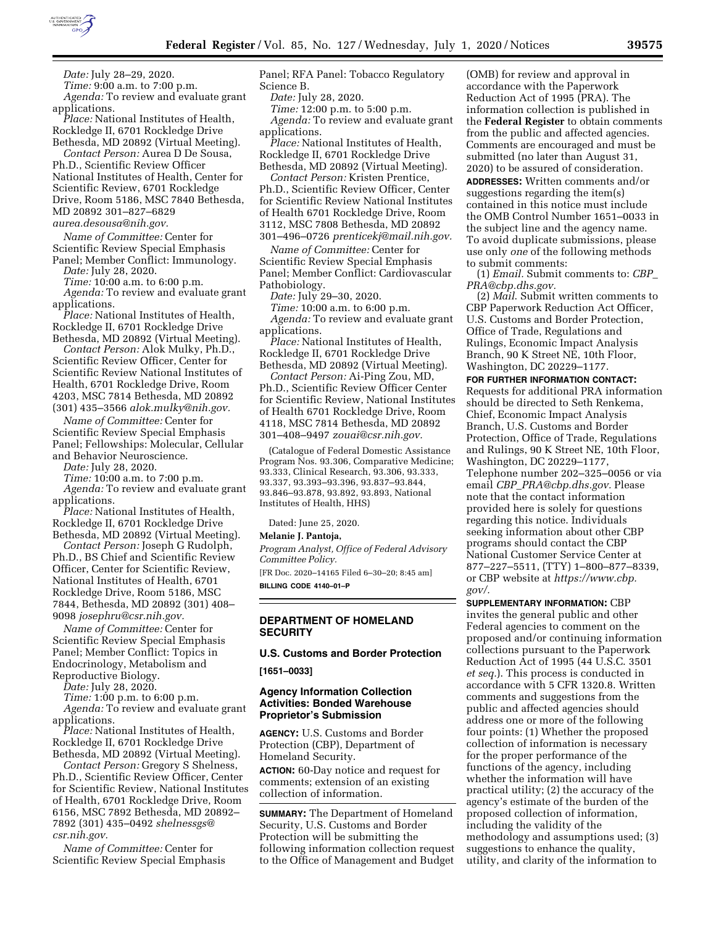

*Date:* July 28–29, 2020.

*Time:* 9:00 a.m. to 7:00 p.m. *Agenda:* To review and evaluate grant applications.

*Place:* National Institutes of Health, Rockledge II, 6701 Rockledge Drive Bethesda, MD 20892 (Virtual Meeting).

*Contact Person:* Aurea D De Sousa, Ph.D., Scientific Review Officer National Institutes of Health, Center for Scientific Review, 6701 Rockledge Drive, Room 5186, MSC 7840 Bethesda, MD 20892 301–827–6829

*[aurea.desousa@nih.gov.](mailto:aurea.desousa@nih.gov)* 

*Name of Committee:* Center for Scientific Review Special Emphasis

Panel; Member Conflict: Immunology. *Date:* July 28, 2020.

*Time:* 10:00 a.m. to 6:00 p.m.

*Agenda:* To review and evaluate grant applications.

*Place:* National Institutes of Health, Rockledge II, 6701 Rockledge Drive Bethesda, MD 20892 (Virtual Meeting).

*Contact Person:* Alok Mulky, Ph.D., Scientific Review Officer, Center for Scientific Review National Institutes of Health, 6701 Rockledge Drive, Room 4203, MSC 7814 Bethesda, MD 20892 (301) 435–3566 *[alok.mulky@nih.gov.](mailto:alok.mulky@nih.gov)* 

*Name of Committee:* Center for Scientific Review Special Emphasis Panel; Fellowships: Molecular, Cellular and Behavior Neuroscience.

*Date:* July 28, 2020.

*Time:* 10:00 a.m. to 7:00 p.m. *Agenda:* To review and evaluate grant applications.

*Place:* National Institutes of Health, Rockledge II, 6701 Rockledge Drive Bethesda, MD 20892 (Virtual Meeting).

*Contact Person:* Joseph G Rudolph, Ph.D., BS Chief and Scientific Review Officer, Center for Scientific Review, National Institutes of Health, 6701 Rockledge Drive, Room 5186, MSC 7844, Bethesda, MD 20892 (301) 408– 9098 *[josephru@csr.nih.gov.](mailto:josephru@csr.nih.gov)* 

*Name of Committee:* Center for Scientific Review Special Emphasis Panel; Member Conflict: Topics in Endocrinology, Metabolism and Reproductive Biology.

*Date:* July 28, 2020.

*Time:* 1:00 p.m. to 6:00 p.m.

*Agenda:* To review and evaluate grant applications.

*Place:* National Institutes of Health, Rockledge II, 6701 Rockledge Drive Bethesda, MD 20892 (Virtual Meeting).

*Contact Person:* Gregory S Shelness, Ph.D., Scientific Review Officer, Center for Scientific Review, National Institutes of Health, 6701 Rockledge Drive, Room 6156, MSC 7892 Bethesda, MD 20892– 7892 (301) 435–0492 *[shelnessgs@](mailto:shelnessgs@csr.nih.gov) [csr.nih.gov.](mailto:shelnessgs@csr.nih.gov)* 

*Name of Committee:* Center for Scientific Review Special Emphasis Panel; RFA Panel: Tobacco Regulatory Science B.

*Date:* July 28, 2020.

*Time:* 12:00 p.m. to 5:00 p.m. *Agenda:* To review and evaluate grant applications.

*Place:* National Institutes of Health, Rockledge II, 6701 Rockledge Drive Bethesda, MD 20892 (Virtual Meeting).

*Contact Person:* Kristen Prentice, Ph.D., Scientific Review Officer, Center for Scientific Review National Institutes of Health 6701 Rockledge Drive, Room 3112, MSC 7808 Bethesda, MD 20892 301–496–0726 *[prenticekj@mail.nih.gov.](mailto:prenticekj@mail.nih.gov)* 

*Name of Committee:* Center for Scientific Review Special Emphasis Panel; Member Conflict: Cardiovascular Pathobiology.

*Date:* July 29–30, 2020.

*Time:* 10:00 a.m. to 6:00 p.m.

*Agenda:* To review and evaluate grant applications.

*Place:* National Institutes of Health, Rockledge II, 6701 Rockledge Drive Bethesda, MD 20892 (Virtual Meeting).

*Contact Person:* Ai-Ping Zou, MD, Ph.D., Scientific Review Officer Center for Scientific Review, National Institutes of Health 6701 Rockledge Drive, Room 4118, MSC 7814 Bethesda, MD 20892 301–408–9497 *[zouai@csr.nih.gov.](mailto:zouai@csr.nih.gov)* 

(Catalogue of Federal Domestic Assistance Program Nos. 93.306, Comparative Medicine; 93.333, Clinical Research, 93.306, 93.333, 93.337, 93.393–93.396, 93.837–93.844, 93.846–93.878, 93.892, 93.893, National Institutes of Health, HHS)

Dated: June 25, 2020.

**Melanie J. Pantoja,** 

*Program Analyst, Office of Federal Advisory Committee Policy.* 

[FR Doc. 2020–14165 Filed 6–30–20; 8:45 am] **BILLING CODE 4140–01–P** 

### **DEPARTMENT OF HOMELAND SECURITY**

**U.S. Customs and Border Protection [1651–0033]** 

#### **Agency Information Collection Activities: Bonded Warehouse Proprietor's Submission**

**AGENCY:** U.S. Customs and Border Protection (CBP), Department of Homeland Security.

**ACTION:** 60-Day notice and request for comments; extension of an existing collection of information.

**SUMMARY:** The Department of Homeland Security, U.S. Customs and Border Protection will be submitting the following information collection request to the Office of Management and Budget

(OMB) for review and approval in accordance with the Paperwork Reduction Act of 1995 (PRA). The information collection is published in the **Federal Register** to obtain comments from the public and affected agencies. Comments are encouraged and must be submitted (no later than August 31, 2020) to be assured of consideration.

**ADDRESSES:** Written comments and/or suggestions regarding the item(s) contained in this notice must include the OMB Control Number 1651–0033 in the subject line and the agency name. To avoid duplicate submissions, please use only *one* of the following methods to submit comments:

(1) *Email.* Submit comments to: *[CBP](mailto:CBP_PRA@cbp.dhs.gov)*\_ *[PRA@cbp.dhs.gov.](mailto:CBP_PRA@cbp.dhs.gov)* 

(2) *Mail*. Submit written comments to CBP Paperwork Reduction Act Officer, U.S. Customs and Border Protection, Office of Trade, Regulations and Rulings, Economic Impact Analysis Branch, 90 K Street NE, 10th Floor, Washington, DC 20229–1177.

**FOR FURTHER INFORMATION CONTACT:**  Requests for additional PRA information should be directed to Seth Renkema, Chief, Economic Impact Analysis Branch, U.S. Customs and Border Protection, Office of Trade, Regulations and Rulings, 90 K Street NE, 10th Floor, Washington, DC 20229–1177, Telephone number 202–325–0056 or via email *CBP*\_*[PRA@cbp.dhs.gov.](mailto:CBP_PRA@cbp.dhs.gov)* Please note that the contact information provided here is solely for questions regarding this notice. Individuals seeking information about other CBP programs should contact the CBP National Customer Service Center at 877–227–5511, (TTY) 1–800–877–8339, or CBP website at *[https://www.cbp.](https://www.cbp.gov/)  [gov/.](https://www.cbp.gov/)* 

**SUPPLEMENTARY INFORMATION:** CBP invites the general public and other Federal agencies to comment on the proposed and/or continuing information collections pursuant to the Paperwork Reduction Act of 1995 (44 U.S.C. 3501 *et seq.*). This process is conducted in accordance with 5 CFR 1320.8. Written comments and suggestions from the public and affected agencies should address one or more of the following four points: (1) Whether the proposed collection of information is necessary for the proper performance of the functions of the agency, including whether the information will have practical utility; (2) the accuracy of the agency's estimate of the burden of the proposed collection of information, including the validity of the methodology and assumptions used; (3) suggestions to enhance the quality, utility, and clarity of the information to